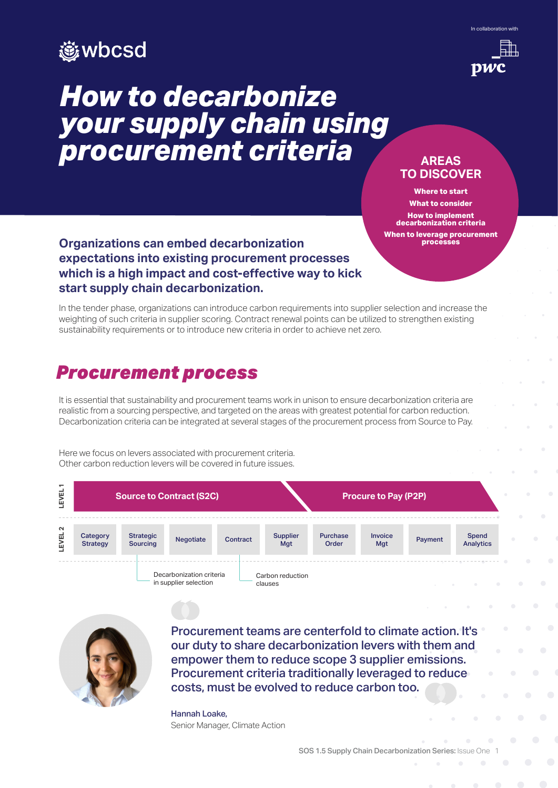

# *How to decarbonize your supply chain using procurement criteria*





### **AREAS TO DISCOVER**

**Where to start What to consider How to implement decarbonization criteria When to leverage procurement processes**

### **Organizations can embed decarbonization expectations into existing procurement processes which is a high impact and cost-effective way to kick start supply chain decarbonization.**

In the tender phase, organizations can introduce carbon requirements into supplier selection and increase the weighting of such criteria in supplier scoring. Contract renewal points can be utilized to strengthen existing sustainability requirements or to introduce new criteria in order to achieve net zero.

# *Procurement process*

It is essential that sustainability and procurement teams work in unison to ensure decarbonization criteria are realistic from a sourcing perspective, and targeted on the areas with greatest potential for carbon reduction. Decarbonization criteria can be integrated at several stages of the procurement process from Source to Pay.

Here we focus on levers associated with procurement criteria. Other carbon reduction levers will be covered in future issues.





Procurement teams are centerfold to climate action. It's our duty to share decarbonization levers with them and empower them to reduce scope 3 supplier emissions. Procurement criteria traditionally leveraged to reduce costs, must be evolved to reduce carbon too.

Hannah Loake, Senior Manager, Climate Action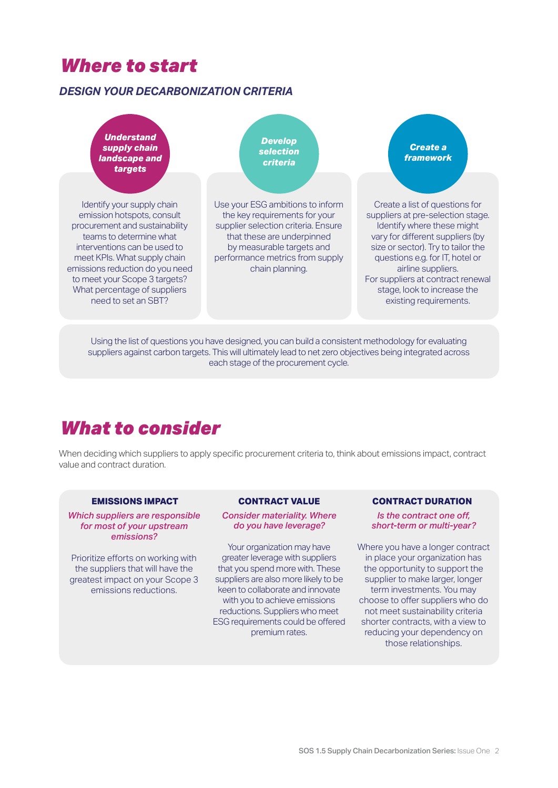# *Where to start*

### *DESIGN YOUR DECARBONIZATION CRITERIA*

*Understand supply chain landscape and targets* 

Identify your supply chain emission hotspots, consult procurement and sustainability teams to determine what interventions can be used to meet KPIs. What supply chain emissions reduction do you need to meet your Scope 3 targets? What percentage of suppliers need to set an SBT?

*Develop selection criteria*

Use your ESG ambitions to inform the key requirements for your supplier selection criteria. Ensure that these are underpinned by measurable targets and performance metrics from supply chain planning.

*Create a framework*

Create a list of questions for suppliers at pre-selection stage. Identify where these might vary for different suppliers (by size or sector). Try to tailor the questions e.g. for IT, hotel or airline suppliers. For suppliers at contract renewal stage, look to increase the existing requirements.

Using the list of questions you have designed, you can build a consistent methodology for evaluating suppliers against carbon targets. This will ultimately lead to net zero objectives being integrated across each stage of the procurement cycle.

# *What to consider*

When deciding which suppliers to apply specific procurement criteria to, think about emissions impact, contract value and contract duration.

#### **EMISSIONS IMPACT**

*Which suppliers are responsible for most of your upstream emissions?*

Prioritize efforts on working with the suppliers that will have the greatest impact on your Scope 3 emissions reductions.

#### **CONTRACT VALUE**

*Consider materiality. Where do you have leverage?* 

Your organization may have greater leverage with suppliers that you spend more with. These suppliers are also more likely to be keen to collaborate and innovate with you to achieve emissions reductions. Suppliers who meet ESG requirements could be offered premium rates.

#### **CONTRACT DURATION**

*Is the contract one off, short-term or multi-year?*

Where you have a longer contract in place your organization has the opportunity to support the supplier to make larger, longer term investments. You may choose to offer suppliers who do not meet sustainability criteria shorter contracts, with a view to reducing your dependency on those relationships.